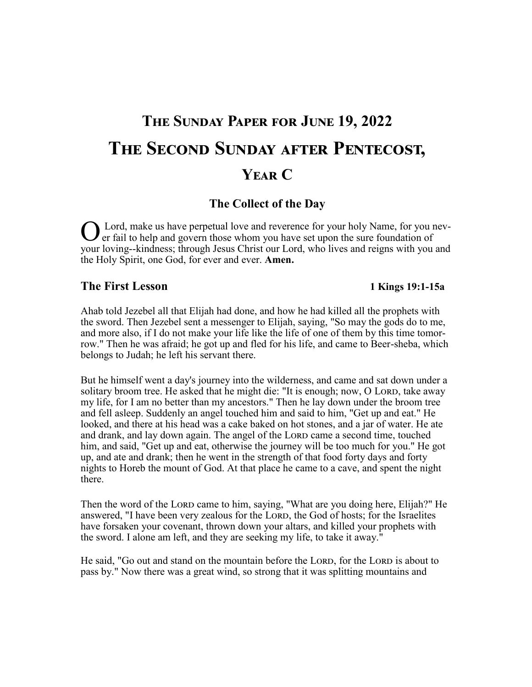# **The Sunday Paper for June 19, 2022 The Second Sunday after Pentecost, Year C**

## **The Collect of the Day**

O Lord, make us have perpetual love and reverence for your holy Name, for you never fail to help and govern those whom you have set upon the sure foundation of your loving--kindness; through Jesus Christ our Lord, who lives and reigns with you and the Holy Spirit, one God, for ever and ever. **Amen.** 

#### **The First Lesson 1 Kings 19:1-15a**

Ahab told Jezebel all that Elijah had done, and how he had killed all the prophets with the sword. Then Jezebel sent a messenger to Elijah, saying, "So may the gods do to me, and more also, if I do not make your life like the life of one of them by this time tomorrow." Then he was afraid; he got up and fled for his life, and came to Beer-sheba, which belongs to Judah; he left his servant there.

But he himself went a day's journey into the wilderness, and came and sat down under a solitary broom tree. He asked that he might die: "It is enough; now, O LORD, take away my life, for I am no better than my ancestors." Then he lay down under the broom tree and fell asleep. Suddenly an angel touched him and said to him, "Get up and eat." He looked, and there at his head was a cake baked on hot stones, and a jar of water. He ate and drank, and lay down again. The angel of the LORD came a second time, touched him, and said, "Get up and eat, otherwise the journey will be too much for you." He got up, and ate and drank; then he went in the strength of that food forty days and forty nights to Horeb the mount of God. At that place he came to a cave, and spent the night there.

Then the word of the LORD came to him, saying, "What are you doing here, Elijah?" He answered, "I have been very zealous for the LORD, the God of hosts; for the Israelites have forsaken your covenant, thrown down your altars, and killed your prophets with the sword. I alone am left, and they are seeking my life, to take it away."

He said, "Go out and stand on the mountain before the LORD, for the LORD is about to pass by." Now there was a great wind, so strong that it was splitting mountains and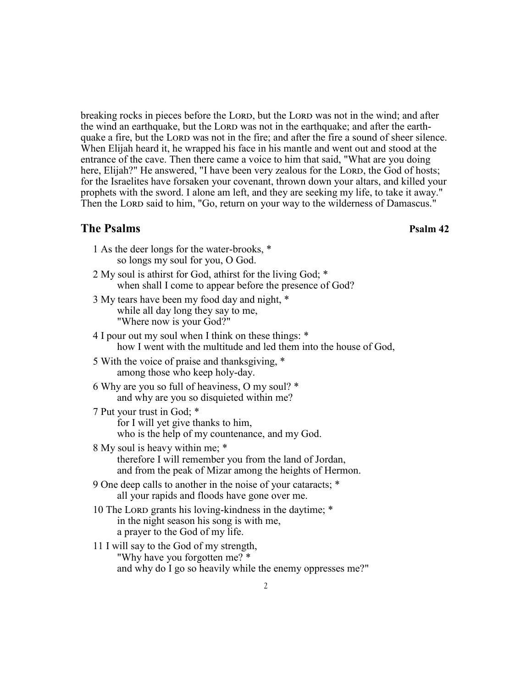breaking rocks in pieces before the LORD, but the LORD was not in the wind; and after the wind an earthquake, but the LORD was not in the earthquake; and after the earthquake a fire, but the LORD was not in the fire; and after the fire a sound of sheer silence. When Elijah heard it, he wrapped his face in his mantle and went out and stood at the entrance of the cave. Then there came a voice to him that said, "What are you doing here, Elijah?" He answered, "I have been very zealous for the LORD, the God of hosts; for the Israelites have forsaken your covenant, thrown down your altars, and killed your prophets with the sword. I alone am left, and they are seeking my life, to take it away." Then the LORD said to him, "Go, return on your way to the wilderness of Damascus."

#### **The Psalms Psalm 42**

| 1 As the deer longs for the water-brooks, * |
|---------------------------------------------|
| so longs my soul for you, O God.            |

- 2 My soul is athirst for God, athirst for the living God; \* when shall I come to appear before the presence of God?
- 3 My tears have been my food day and night, \* while all day long they say to me, "Where now is your God?"
- 4 I pour out my soul when I think on these things: \* how I went with the multitude and led them into the house of God,
- 5 With the voice of praise and thanksgiving, \* among those who keep holy-day.
- 6 Why are you so full of heaviness, O my soul? \* and why are you so disquieted within me?
- 7 Put your trust in God; \* for I will yet give thanks to him, who is the help of my countenance, and my God.
- 8 My soul is heavy within me; \* therefore I will remember you from the land of Jordan, and from the peak of Mizar among the heights of Hermon.
- 9 One deep calls to another in the noise of your cataracts; \* all your rapids and floods have gone over me.
- 10 The Lord grants his loving-kindness in the daytime; \* in the night season his song is with me, a prayer to the God of my life.
- 11 I will say to the God of my strength, "Why have you forgotten me? \* and why do I go so heavily while the enemy oppresses me?"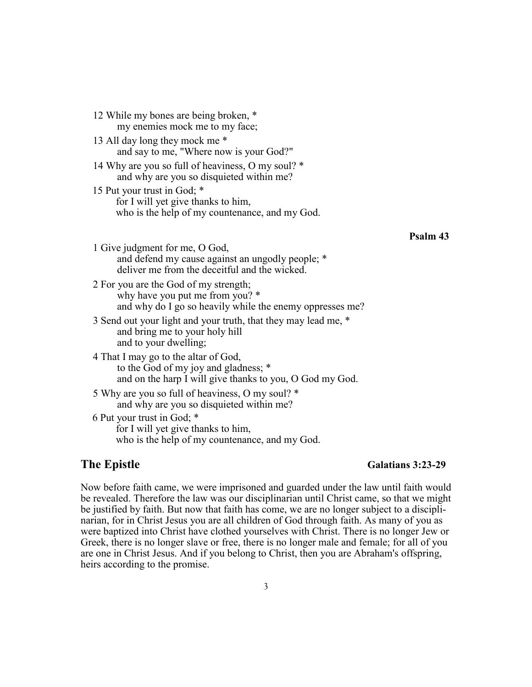| 12 While my bones are being broken, *<br>my enemies mock me to my face;                                                                  |  |  |  |  |
|------------------------------------------------------------------------------------------------------------------------------------------|--|--|--|--|
| 13 All day long they mock me *<br>and say to me, "Where now is your God?"                                                                |  |  |  |  |
| 14 Why are you so full of heaviness, O my soul? *<br>and why are you so disquieted within me?                                            |  |  |  |  |
| 15 Put your trust in God; *<br>for I will yet give thanks to him,                                                                        |  |  |  |  |
| who is the help of my countenance, and my God.                                                                                           |  |  |  |  |
| 1 Give judgment for me, O God,<br>and defend my cause against an ungodly people; *<br>deliver me from the deceitful and the wicked.      |  |  |  |  |
| 2 For you are the God of my strength;<br>why have you put me from you? *<br>and why do I go so heavily while the enemy oppresses me?     |  |  |  |  |
| 3 Send out your light and your truth, that they may lead me, *<br>and bring me to your holy hill<br>and to your dwelling;                |  |  |  |  |
| 4 That I may go to the altar of God,<br>to the God of my joy and gladness; *<br>and on the harp I will give thanks to you, O God my God. |  |  |  |  |
| 5 Why are you so full of heaviness, O my soul? *<br>and why are you so disquieted within me?                                             |  |  |  |  |
| 6 Put your trust in God; *<br>for I will yet give thanks to him,<br>who is the help of my countenance, and my God.                       |  |  |  |  |

## **The Epistle Galatians 3:23-29**

 **Psalm 43**

Now before faith came, we were imprisoned and guarded under the law until faith would be revealed. Therefore the law was our disciplinarian until Christ came, so that we might be justified by faith. But now that faith has come, we are no longer subject to a disciplinarian, for in Christ Jesus you are all children of God through faith. As many of you as were baptized into Christ have clothed yourselves with Christ. There is no longer Jew or Greek, there is no longer slave or free, there is no longer male and female; for all of you are one in Christ Jesus. And if you belong to Christ, then you are Abraham's offspring, heirs according to the promise.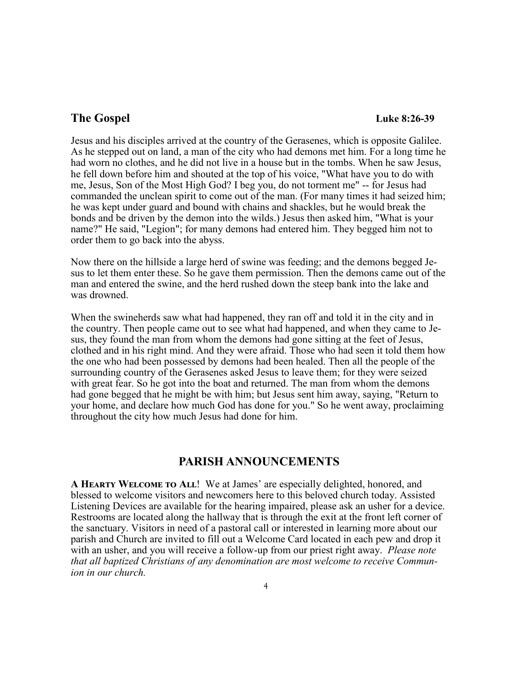### **The Gospel Luke 8:26-39**

Jesus and his disciples arrived at the country of the Gerasenes, which is opposite Galilee. As he stepped out on land, a man of the city who had demons met him. For a long time he had worn no clothes, and he did not live in a house but in the tombs. When he saw Jesus, he fell down before him and shouted at the top of his voice, "What have you to do with me, Jesus, Son of the Most High God? I beg you, do not torment me" -- for Jesus had commanded the unclean spirit to come out of the man. (For many times it had seized him; he was kept under guard and bound with chains and shackles, but he would break the bonds and be driven by the demon into the wilds.) Jesus then asked him, "What is your name?" He said, "Legion"; for many demons had entered him. They begged him not to order them to go back into the abyss.

Now there on the hillside a large herd of swine was feeding; and the demons begged Jesus to let them enter these. So he gave them permission. Then the demons came out of the man and entered the swine, and the herd rushed down the steep bank into the lake and was drowned.

When the swineherds saw what had happened, they ran off and told it in the city and in the country. Then people came out to see what had happened, and when they came to Jesus, they found the man from whom the demons had gone sitting at the feet of Jesus, clothed and in his right mind. And they were afraid. Those who had seen it told them how the one who had been possessed by demons had been healed. Then all the people of the surrounding country of the Gerasenes asked Jesus to leave them; for they were seized with great fear. So he got into the boat and returned. The man from whom the demons had gone begged that he might be with him; but Jesus sent him away, saying, "Return to your home, and declare how much God has done for you." So he went away, proclaiming throughout the city how much Jesus had done for him.

#### **PARISH ANNOUNCEMENTS**

**A Hearty Welcome to All**! We at James' are especially delighted, honored, and blessed to welcome visitors and newcomers here to this beloved church today. Assisted Listening Devices are available for the hearing impaired, please ask an usher for a device. Restrooms are located along the hallway that is through the exit at the front left corner of the sanctuary. Visitors in need of a pastoral call or interested in learning more about our parish and Church are invited to fill out a Welcome Card located in each pew and drop it with an usher, and you will receive a follow-up from our priest right away. *Please note that all baptized Christians of any denomination are most welcome to receive Communion in our church.*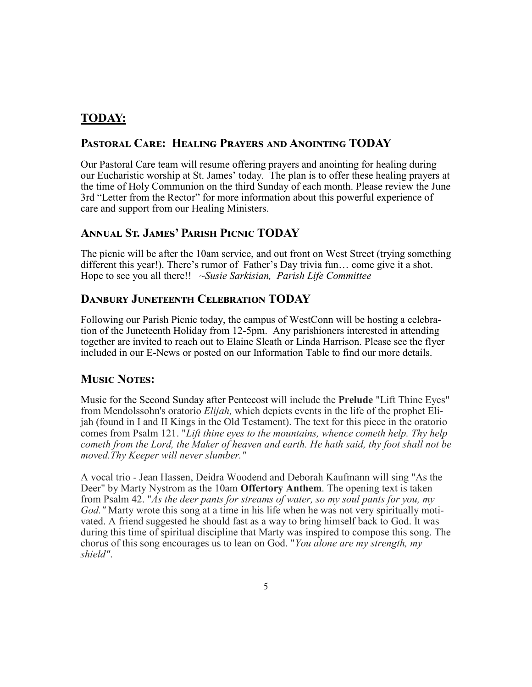# **TODAY:**

# **Pastoral Care: Healing Prayers and Anointing TODAY**

Our Pastoral Care team will resume offering prayers and anointing for healing during our Eucharistic worship at St. James' today. The plan is to offer these healing prayers at the time of Holy Communion on the third Sunday of each month. Please review the June 3rd "Letter from the Rector" for more information about this powerful experience of care and support from our Healing Ministers.

# **Annual St. James' Parish Picnic TODAY**

The picnic will be after the 10am service, and out front on West Street (trying something different this year!). There's rumor of Father's Day trivia fun… come give it a shot. Hope to see you all there!! *~Susie Sarkisian, Parish Life Committee*

# **Danbury Juneteenth Celebration TODAY**

Following our Parish Picnic today, the campus of WestConn will be hosting a celebration of the Juneteenth Holiday from 12-5pm. Any parishioners interested in attending together are invited to reach out to Elaine Sleath or Linda Harrison. Please see the flyer included in our E-News or posted on our Information Table to find our more details.

# **Music Notes:**

Music for the Second Sunday after Pentecost will include the **Prelude** "Lift Thine Eyes" from Mendolssohn's oratorio *Elijah,* which depicts events in the life of the prophet Elijah (found in I and II Kings in the Old Testament). The text for this piece in the oratorio comes from Psalm 121. "*Lift thine eyes to the mountains, whence cometh help. Thy help cometh from the Lord, the Maker of heaven and earth. He hath said, thy foot shall not be moved.Thy Keeper will never slumber."*

A vocal trio - Jean Hassen, Deidra Woodend and Deborah Kaufmann will sing "As the Deer" by Marty Nystrom as the 10am **Offertory Anthem**. The opening text is taken from Psalm 42. "*As the deer pants for streams of water, so my soul pants for you, my God."* Marty wrote this song at a time in his life when he was not very spiritually motivated. A friend suggested he should fast as a way to bring himself back to God. It was during this time of spiritual discipline that Marty was inspired to compose this song. The chorus of this song encourages us to lean on God. "*You alone are my strength, my shield"*.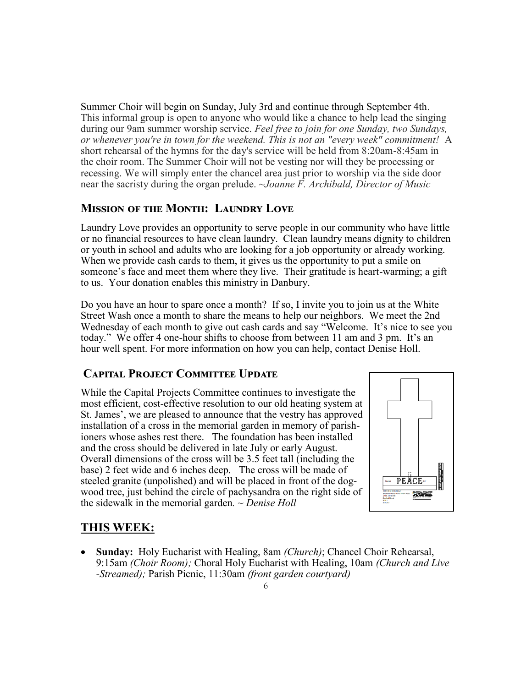Summer Choir will begin on Sunday, July 3rd and continue through September 4th. This informal group is open to anyone who would like a chance to help lead the singing during our 9am summer worship service. *Feel free to join for one Sunday, two Sundays, or whenever you're in town for the weekend. This is not an "every week" commitment!* A short rehearsal of the hymns for the day's service will be held from 8:20am-8:45am in the choir room. The Summer Choir will not be vesting nor will they be processing or recessing. We will simply enter the chancel area just prior to worship via the side door near the sacristy during the organ prelude. ~*Joanne F. Archibald, Director of Music*

### **Mission of the Month: Laundry Love**

Laundry Love provides an opportunity to serve people in our community who have little or no financial resources to have clean laundry. Clean laundry means dignity to children or youth in school and adults who are looking for a job opportunity or already working. When we provide cash cards to them, it gives us the opportunity to put a smile on someone's face and meet them where they live. Their gratitude is heart-warming; a gift to us. Your donation enables this ministry in Danbury.

Do you have an hour to spare once a month? If so, I invite you to join us at the White Street Wash once a month to share the means to help our neighbors. We meet the 2nd Wednesday of each month to give out cash cards and say "Welcome. It's nice to see you today." We offer 4 one-hour shifts to choose from between 11 am and 3 pm. It's an hour well spent. For more information on how you can help, contact Denise Holl.

# **Capital Project Committee Update**

While the Capital Projects Committee continues to investigate the most efficient, cost-effective resolution to our old heating system at St. James', we are pleased to announce that the vestry has approved installation of a cross in the memorial garden in memory of parishioners whose ashes rest there. The foundation has been installed and the cross should be delivered in late July or early August. Overall dimensions of the cross will be 3.5 feet tall (including the base) 2 feet wide and 6 inches deep. The cross will be made of steeled granite (unpolished) and will be placed in front of the dogwood tree, just behind the circle of pachysandra on the right side of the sidewalk in the memorial garden*. ~ Denise Holl*



### **THIS WEEK:**

• **Sunday:** Holy Eucharist with Healing, 8am *(Church)*; Chancel Choir Rehearsal, 9:15am *(Choir Room);* Choral Holy Eucharist with Healing, 10am *(Church and Live -Streamed);* Parish Picnic, 11:30am *(front garden courtyard)*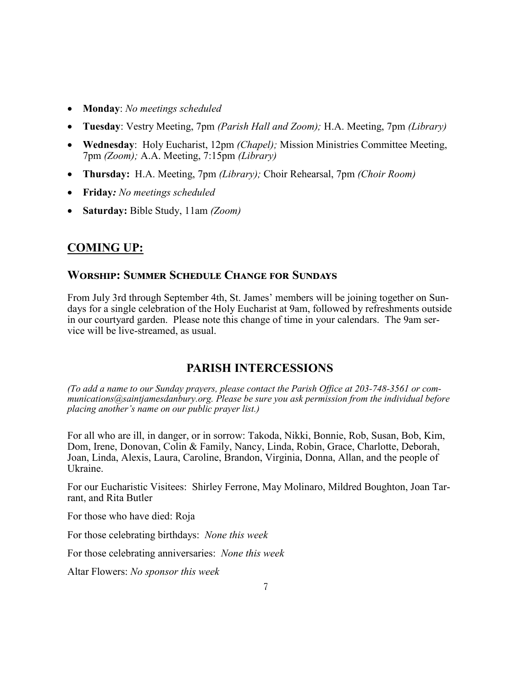- **Monday**: *No meetings scheduled*
- **Tuesday**: Vestry Meeting, 7pm *(Parish Hall and Zoom);* H.A. Meeting, 7pm *(Library)*
- **Wednesday**: Holy Eucharist, 12pm *(Chapel);* Mission Ministries Committee Meeting, 7pm *(Zoom);* A.A. Meeting, 7:15pm *(Library)*
- **Thursday:** H.A. Meeting, 7pm *(Library);* Choir Rehearsal, 7pm *(Choir Room)*
- **Friday***: No meetings scheduled*
- **Saturday:** Bible Study, 11am *(Zoom)*

# **COMING UP:**

#### **Worship: Summer Schedule Change for Sundays**

From July 3rd through September 4th, St. James' members will be joining together on Sundays for a single celebration of the Holy Eucharist at 9am, followed by refreshments outside in our courtyard garden. Please note this change of time in your calendars. The 9am service will be live-streamed, as usual.

## **PARISH INTERCESSIONS**

*(To add a name to our Sunday prayers, please contact the Parish Office at 203-748-3561 or communications@saintjamesdanbury.org. Please be sure you ask permission from the individual before placing another's name on our public prayer list.)*

For all who are ill, in danger, or in sorrow: Takoda, Nikki, Bonnie, Rob, Susan, Bob, Kim, Dom, Irene, Donovan, Colin & Family, Nancy, Linda, Robin, Grace, Charlotte, Deborah, Joan, Linda, Alexis, Laura, Caroline, Brandon, Virginia, Donna, Allan, and the people of Ukraine.

For our Eucharistic Visitees: Shirley Ferrone, May Molinaro, Mildred Boughton, Joan Tarrant, and Rita Butler

For those who have died: Roja

For those celebrating birthdays: *None this week*

For those celebrating anniversaries: *None this week*

Altar Flowers: *No sponsor this week*